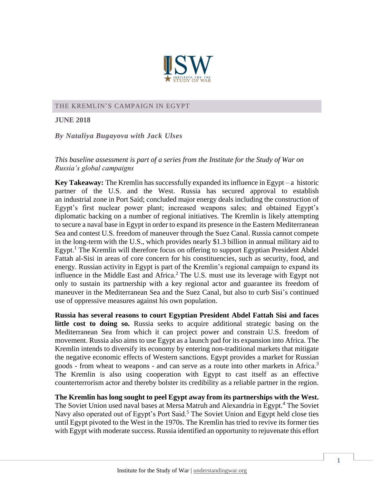

#### THE KREMLIN'S CAMPAIGN IN EGYPT

**JUNE 2018**

*By Nataliya Bugayova with Jack Ulses*

### *This baseline assessment is part of a series from the Institute for the Study of War on Russia's global campaigns*

**Key Takeaway:** The Kremlin has successfully expanded its influence in Egypt – a historic partner of the U.S. and the West. Russia has secured approval to establish an industrial zone in Port Said; concluded major energy deals including the construction of Egypt's first nuclear power plant; increased weapons sales; and obtained Egypt's diplomatic backing on a number of regional initiatives. The Kremlin is likely attempting to secure a naval base in Egypt in order to expand its presence in the Eastern Mediterranean Sea and contest U.S. freedom of maneuver through the Suez Canal. Russia cannot compete in the long-term with the U.S., which provides nearly \$1.3 billion in annual military aid to Egypt.<sup>1</sup> The Kremlin will therefore focus on offering to support Egyptian President Abdel Fattah al-Sisi in areas of core concern for his constituencies, such as security, food, and energy. Russian activity in Egypt is part of the Kremlin's regional campaign to expand its influence in the Middle East and Africa. <sup>2</sup> The U.S. must use its leverage with Egypt not only to sustain its partnership with a key regional actor and guarantee its freedom of maneuver in the Mediterranean Sea and the Suez Canal, but also to curb Sisi's continued use of oppressive measures against his own population.

**Russia has several reasons to court Egyptian President Abdel Fattah Sisi and faces little cost to doing so.** Russia seeks to acquire additional strategic basing on the Mediterranean Sea from which it can project power and constrain U.S. freedom of movement. Russia also aims to use Egypt as a launch pad for its expansion into Africa. The Kremlin intends to diversify its economy by entering non-traditional markets that mitigate the negative economic effects of Western sanctions. Egypt provides a market for Russian goods - from wheat to weapons - and can serve as a route into other markets in Africa. 3 The Kremlin is also using cooperation with Egypt to cast itself as an effective counterterrorism actor and thereby bolster its credibility as a reliable partner in the region.

**The Kremlin has long sought to peel Egypt away from its partnerships with the West.**  The Soviet Union used naval bases at Mersa Matruh and Alexandria in Egypt.<sup>4</sup> The Soviet Navy also operated out of Egypt's Port Said.<sup>5</sup> The Soviet Union and Egypt held close ties until Egypt pivoted to the West in the 1970s. The Kremlin has tried to revive its former ties with Egypt with moderate success. Russia identified an opportunity to rejuvenate this effort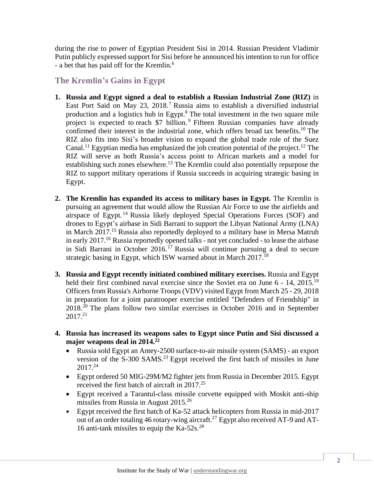during the rise to power of Egyptian President Sisi in 2014. Russian President Vladimir Putin publicly expressed support for Sisi before he announced his intention to run for office - a bet that has paid off for the Kremlin.<sup>6</sup>

# **The Kremlin's Gains in Egypt**

- **1. Russia and Egypt signed a deal to establish a Russian Industrial Zone (RIZ)** in East Port Said on May 23, 2018.<sup>7</sup> Russia aims to establish a diversified industrial production and a logistics hub in Egypt.<sup>8</sup> The total investment in the two square mile project is expected to reach \$7 billion.<sup>9</sup> Fifteen Russian companies have already confirmed their interest in the industrial zone, which offers broad tax benefits.<sup>10</sup> The RIZ also fits into Sisi's broader vision to expand the global trade role of the Suez Canal.<sup>11</sup> Egyptian media has emphasized the job creation potential of the project.<sup>12</sup> The RIZ will serve as both Russia's access point to African markets and a model for establishing such zones elsewhere.<sup>13</sup> The Kremlin could also potentially repurpose the RIZ to support military operations if Russia succeeds in acquiring strategic basing in Egypt.
- **2. The Kremlin has expanded its access to military bases in Egypt.** The Kremlin is pursuing an agreement that would allow the Russian Air Force to use the airfields and airspace of Egypt. <sup>14</sup> Russia likely deployed Special Operations Forces (SOF) and drones to Egypt's airbase in Sidi Barrani to support the Libyan National Army (LNA) in March 2017. <sup>15</sup> Russia also reportedly deployed to a military base in Mersa Matruh in early 2017.<sup>16</sup> Russia reportedly opened talks - not yet concluded - to lease the airbase in Sidi Barrani in October 2016.<sup>17</sup> Russia will continue pursuing a deal to secure strategic basing in Egypt, which ISW warned about in March 2017.<sup>18</sup>
- **3. Russia and Egypt recently initiated combined military exercises.** Russia and Egypt held their first combined naval exercise since the Soviet era on June 6 - 14, 2015.<sup>19</sup> Officers from Russia's Airborne Troops (VDV) visited Egypt from March 25 - 29, 2018 in preparation for a joint paratrooper exercise entitled "Defenders of Friendship" in 2018. <sup>20</sup> The plans follow two similar exercises in October 2016 and in September  $2017^{21}$
- **4. Russia has increased its weapons sales to Egypt since Putin and Sisi discussed a major weapons deal in 2014.<sup>22</sup>**
	- Russia sold Egypt an Antey-2500 surface-to-air missile system (SAMS) an export version of the S-300 SAMS.<sup>23</sup> Egypt received the first batch of missiles in June 2017.<sup>24</sup>
	- Egypt ordered 50 MIG-29M/M2 fighter jets from Russia in December 2015. Egypt received the first batch of aircraft in 2017.<sup>25</sup>
	- Egypt received a Tarantul**-**class missile corvette equipped with Moskit anti-ship missiles from Russia in August 2015.<sup>26</sup>
	- Egypt received the first batch of Ka-52 attack helicopters from Russia in mid-2017 out of an order totaling 46 rotary-wing aircraft.<sup>27</sup> Egypt also received AT-9 and AT-16 anti-tank missiles to equip the Ka-52s. *28*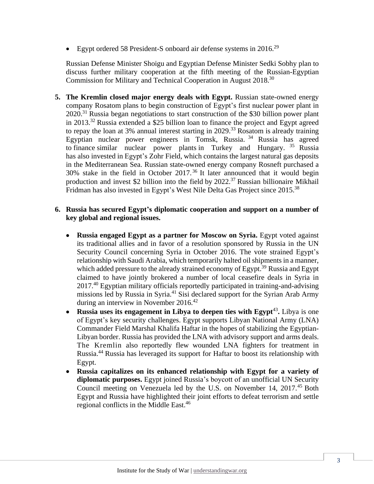Egypt ordered 58 President-S onboard air defense systems in  $2016$ <sup>29</sup>

Russian Defense Minister Shoigu and Egyptian Defense Minister Sedki Sobhy plan to discuss further military cooperation at the fifth meeting of the Russian-Egyptian Commission for Military and Technical Cooperation in August 2018.<sup>30</sup>

**5. The Kremlin closed major energy deals with Egypt.** Russian state-owned energy company Rosatom plans to begin construction of Egypt's first nuclear power plant in  $2020$ <sup>31</sup> Russia began negotiations to start construction of the \$30 billion power plant in 2013.<sup>32</sup> Russia extended a \$25 billion loan to finance the project and Egypt agreed to repay the loan at 3% annual interest starting in 2029.<sup>33</sup> Rosatom is already training Egyptian nuclear power engineers in Tomsk, Russia. <sup>34</sup> Russia has agreed to finance similar nuclear power plants in Turkey and Hungary.<sup>35</sup> Russia has also invested in Egypt's Zohr Field, which contains the largest natural gas deposits in the Mediterranean Sea. Russian state-owned energy company Rosneft purchased a 30% stake in the field in October 2017.<sup>36</sup> It later announced that it would begin production and invest \$2 billion into the field by 2022.<sup>37</sup> Russian billionaire Mikhail Fridman has also invested in Egypt's West Nile Delta Gas Project since 2015.<sup>38</sup>

### **6. Russia has secured Egypt's diplomatic cooperation and support on a number of key global and regional issues.**

- **Russia engaged Egypt as a partner for Moscow on Syria.** Egypt voted against its traditional allies and in favor of a resolution sponsored by Russia in the UN Security Council concerning Syria in October 2016. The vote strained Egypt's relationship with Saudi Arabia, which temporarily halted oil shipments in a manner, which added pressure to the already strained economy of Egypt.<sup>39</sup> Russia and Egypt claimed to have jointly brokered a number of local ceasefire deals in Syria in 2017.<sup>40</sup> Egyptian military officials reportedly participated in training-and-advising missions led by Russia in Syria.<sup>41</sup> Sisi declared support for the Syrian Arab Army during an interview in November 2016.<sup>42</sup>
- Russia uses its engagement in Libya to deepen ties with Egypt<sup>43</sup>. Libya is one of Egypt's key security challenges. Egypt supports Libyan National Army (LNA) Commander Field Marshal Khalifa Haftar in the hopes of stabilizing the Egyptian-Libyan border. Russia has provided the LNA with advisory support and arms deals. The Kremlin also reportedly flew wounded LNA fighters for treatment in Russia.<sup>44</sup> Russia has leveraged its support for Haftar to boost its relationship with Egypt.
- **Russia capitalizes on its enhanced relationship with Egypt for a variety of diplomatic purposes.** Egypt joined Russia's boycott of an unofficial UN Security Council meeting on Venezuela led by the U.S. on November 14, 2017.<sup>45</sup> Both Egypt and Russia have highlighted their joint efforts to defeat terrorism and settle regional conflicts in the Middle East. 46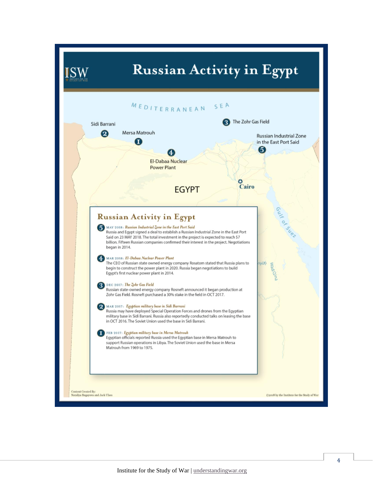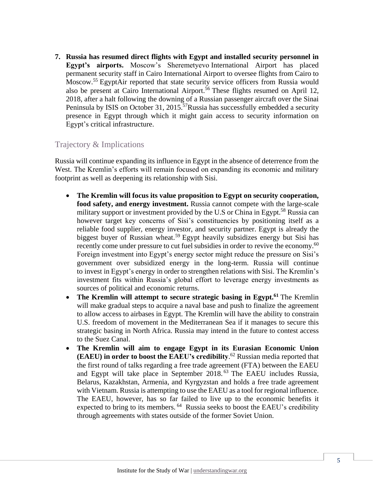**7. Russia has resumed direct flights with Egypt and installed security personnel in Egypt's airports.** Moscow's Sheremetyevo International Airport has placed permanent security staff in Cairo International Airport to oversee flights from Cairo to Moscow.<sup>55</sup> EgyptAir reported that state security service officers from Russia would also be present at Cairo International Airport. <sup>56</sup> These flights resumed on April 12, 2018, after a halt following the downing of a Russian passenger aircraft over the Sinai Peninsula by ISIS on October 31, 2015.<sup>57</sup>Russia has successfully embedded a security presence in Egypt through which it might gain access to security information on Egypt's critical infrastructure.

## Trajectory & Implications

Russia will continue expanding its influence in Egypt in the absence of deterrence from the West. The Kremlin's efforts will remain focused on expanding its economic and military footprint as well as deepening its relationship with Sisi.

- **The Kremlin will focus its value proposition to Egypt on security cooperation, food safety, and energy investment.** Russia cannot compete with the large-scale military support or investment provided by the U.S or China in Egypt.<sup>58</sup> Russia can however target key concerns of Sisi's constituencies by positioning itself as a reliable food supplier, energy investor, and security partner. Egypt is already the biggest buyer of Russian wheat.<sup>59</sup> Egypt heavily subsidizes energy but Sisi has recently come under pressure to cut fuel subsidies in order to revive the economy.<sup>60</sup> Foreign investment into Egypt's energy sector might reduce the pressure on Sisi's government over subsidized energy in the long-term. Russia will continue to invest in Egypt's energy in order to strengthen relations with Sisi. The Kremlin's investment fits within Russia's global effort to leverage energy investments as sources of political and economic returns.
- **The Kremlin will attempt to secure strategic basing in Egypt.<sup>61</sup>** The Kremlin will make gradual steps to acquire a naval base and push to finalize the agreement to allow access to airbases in Egypt. The Kremlin will have the ability to constrain U.S. freedom of movement in the Mediterranean Sea if it manages to secure this strategic basing in North Africa. Russia may intend in the future to contest access to the Suez Canal.
- **The Kremlin will aim to engage Egypt in its Eurasian Economic Union (EAEU) in order to boost the EAEU's credibility**. <sup>62</sup> Russian media reported that the first round of talks regarding a free trade agreement (FTA) between the EAEU and Egypt will take place in September 2018.<sup>63</sup> The EAEU includes Russia, Belarus, Kazakhstan, Armenia, and Kyrgyzstan and holds a free trade agreement with Vietnam. Russia is attempting to use the EAEU as a tool for regional influence. The EAEU, however, has so far failed to live up to the economic benefits it expected to bring to its members.  $64$  Russia seeks to boost the EAEU's credibility through agreements with states outside of the former Soviet Union.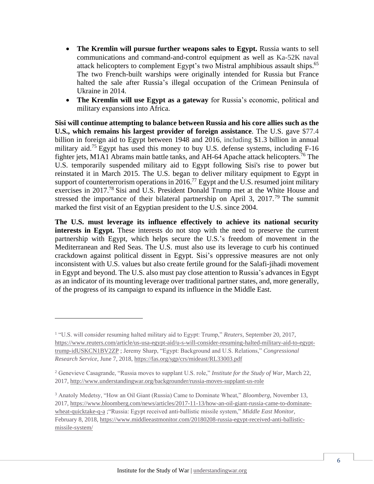- **The Kremlin will pursue further weapons sales to Egypt.** Russia wants to sell communications and command-and-control equipment as well as Ka-52K naval attack helicopters to complement Egypt's two Mistral amphibious assault ships.<sup>65</sup> The two French-built warships were originally intended for Russia but France halted the sale after Russia's illegal occupation of the Crimean Peninsula of Ukraine in 2014.
- **The Kremlin will use Egypt as a gateway** for Russia's economic, political and military expansions into Africa.

**Sisi will continue attempting to balance between Russia and his core allies such as the U.S., which remains his largest provider of foreign assistance**. The U.S. gave \$77.4 billion in foreign aid to Egypt between 1948 and 2016, including \$1.3 billion in annual military aid.<sup>75</sup> Egypt has used this money to buy U.S. defense systems, including F-16 fighter jets, M1A1 Abrams main battle tanks, and AH-64 Apache attack helicopters. <sup>76</sup> The U.S. temporarily suspended military aid to Egypt following Sisi's rise to power but reinstated it in March 2015. The U.S. began to deliver military equipment to Egypt in support of counterterrorism operations in 2016.<sup>77</sup> Egypt and the U.S. resumed joint military exercises in 2017.<sup>78</sup> Sisi and U.S. President Donald Trump met at the White House and stressed the importance of their bilateral partnership on April 3, 2017.<sup>79</sup> The summit marked the first visit of an Egyptian president to the U.S. since 2004.

**The U.S. must leverage its influence effectively to achieve its national security interests in Egypt.** These interests do not stop with the need to preserve the current partnership with Egypt, which helps secure the U.S.'s freedom of movement in the Mediterranean and Red Seas. The U.S. must also use its leverage to curb his continued crackdown against political dissent in Egypt. Sisi's oppressive measures are not only inconsistent with U.S. values but also create fertile ground for the Salafi-jihadi movement in Egypt and beyond. The U.S. also must pay close attention to Russia's advances in Egypt as an indicator of its mounting leverage over traditional partner states, and, more generally, of the progress of its campaign to expand its influence in the Middle East.

 $\overline{a}$ 

<sup>&</sup>lt;sup>1</sup> "U.S. will consider resuming halted military aid to Egypt: Trump," *Reuters*, September 20, 2017, [https://www.reuters.com/article/us-usa-egypt-aid/u-s-will-consider-resuming-halted-military-aid-to-egypt](https://www.reuters.com/article/us-usa-egypt-aid/u-s-will-consider-resuming-halted-military-aid-to-egypt-trump-idUSKCN1BV2ZP)[trump-idUSKCN1BV2ZP](https://www.reuters.com/article/us-usa-egypt-aid/u-s-will-consider-resuming-halted-military-aid-to-egypt-trump-idUSKCN1BV2ZP) ; Jeremy Sharp, "Egypt: Background and U.S. Relations," *Congressional Research Service,* June 7, 2018,<https://fas.org/sgp/crs/mideast/RL33003.pdf>

<sup>2</sup> Genevieve Casagrande, "Russia moves to supplant U.S. role," *Institute for the Study of War,* March 22, 2017,<http://www.understandingwar.org/backgrounder/russia-moves-supplant-us-role>

<sup>3</sup> Anatoly Medetsy, "How an Oil Giant (Russia) Came to Dominate Wheat," *Bloomberg,* November 13, 2017, [https://www.bloomberg.com/news/articles/2017-11-13/how-an-oil-giant-russia-came-to-dominate](https://www.bloomberg.com/news/articles/2017-11-13/how-an-oil-giant-russia-came-to-dominate-wheat-quicktake-q-a)[wheat-quicktake-q-a](https://www.bloomberg.com/news/articles/2017-11-13/how-an-oil-giant-russia-came-to-dominate-wheat-quicktake-q-a) ;"Russia: Egypt received anti-ballistic missile system," *Middle East Monitor,*  February 8, 2018[, https://www.middleeastmonitor.com/20180208-russia-egypt-received-anti-ballistic](https://www.middleeastmonitor.com/20180208-russia-egypt-received-anti-ballistic-missile-system/)[missile-system/](https://www.middleeastmonitor.com/20180208-russia-egypt-received-anti-ballistic-missile-system/)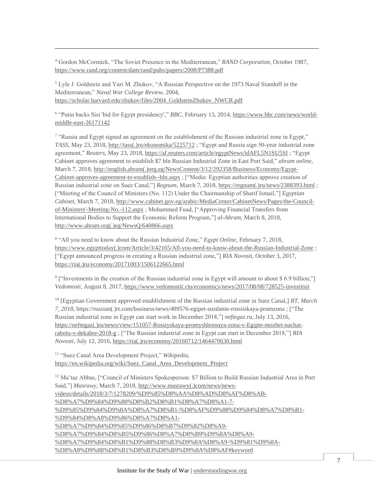<sup>4</sup> Gordon McCormick, "The Soviet Presence in the Mediterranean," *RAND Corporation,* October 1987, <https://www.rand.org/content/dam/rand/pubs/papers/2008/P7388.pdf>

<sup>5</sup> Lyle J. Goldstein and Yuri M. Zhukov, "A Russian Perspective on the 1973 Naval Standoff in the Mediterranean," *Naval War College Review,* 2004, [https://scholar.harvard.edu/zhukov/files/2004\\_GoldsteinZhukov\\_NWCR.pdf](https://scholar.harvard.edu/zhukov/files/2004_GoldsteinZhukov_NWCR.pdf)

 $\overline{a}$ 

<sup>6</sup> "Putin backs Sisi 'bid for Egypt presidency'," *BBC*, February 13, 2014, [https://www.bbc.com/news/world](https://www.bbc.com/news/world-middle-east-26171142)[middle-east-26171142](https://www.bbc.com/news/world-middle-east-26171142)

<sup>7</sup> "Russia and Egypt signed an agreement on the establishment of the Russian industrial zone in Egypt," *TASS,* May 23, 2018[, http://tass\(.\)ru/ekonomika/5225712](http://tass.ru/ekonomika/5225712) ; "Egypt and Russia sign 50-year industrial zone agreement," *Reuters,* May 23, 2018,<https://af.reuters.com/article/egyptNews/idAFL5N1SU5SI> ; "Egypt Cabinet approves agreement to establish \$7 bln Russian Industrial Zone in East Port Said," *ahram online,*  March 7, 2018[, http://english.ahram\(.\)org.eg/NewsContent/3/12/292358/Business/Economy/Egypt-](http://english.ahram.org.eg/NewsContent/3/12/292358/Business/Economy/Egypt-Cabinet-approves-agreement-to-establish--bln.aspx)[Cabinet-approves-agreement-to-establish--bln.aspx](http://english.ahram.org.eg/NewsContent/3/12/292358/Business/Economy/Egypt-Cabinet-approves-agreement-to-establish--bln.aspx) ; ["Media: Egyptian authorities approve creation of Russian industrial zone on Suez Canal,"] *Regnum,* March 7, 2018[, https://regnum\(.\)ru/news/2388393.html](https://regnum.ru/news/2388393.html) ; ["Meeting of the Council of Ministers (No. 112) Under the Chairmanship of Sharif Ismail,"] *Egyptian Cabinet*, March 7, 2018, [http://www.cabinet.gov.eg/arabic/MediaCenter/CabinetNews/Pages/the-Council](http://www.cabinet.gov.eg/arabic/MediaCenter/CabinetNews/Pages/the-Council-of-Ministers)[of-Ministers'-Meeting-No.-112.aspx](http://www.cabinet.gov.eg/arabic/MediaCenter/CabinetNews/Pages/the-Council-of-Ministers) ; Mohammed Fuad, ["Approving Financial Transfers from International Bodies to Support the Economic Reform Program,"] *al-Ahram*, March 8, 2018, [http://www.ahram.org\(.\)eg/NewsQ/640866.aspx](http://www.ahram.org.eg/NewsQ/640866.aspx)

8 "All you need to know about the Russian Industrial Zone," *Egypt Online,* February 7, 2018, [https://www.egypttoday\(.\)com/Article/3/42165/All-you-need-to-know-about-the-Russian-Industrial-Zone](https://www.egypttoday.com/Article/3/42165/All-you-need-to-know-about-the-Russian-Industrial-Zone) ; ["Egypt announced progress in creating a Russian industrial zone,"] *RIA Novosti,* October 3, 2017, [https://ria\(.\)ru/economy/20171003/1506122665.html](https://ria.ru/economy/20171003/1506122665.html)

<sup>9</sup> ["Investments in the creation of the Russian industrial zone in Egypt will amount to about \$ 6.9 billion,"] *Vedomosti,* August 8, 2017[, https://www.vedomosti\(.r\)u/economics/news/2017/08/08/728525-investitsii](https://www.vedomosti.ru/economics/news/2017/08/08/728525-investitsii)

<sup>10</sup> [Egyptian Government approved establishment of the Russian industrial zone in Suez Canal,] *RT, March 7, 2018,* https://russian(.)rt.com/business/news/489576-egipet-sozdanie-rossiiskaya-promzona ; ["The Russian industrial zone in Egypt can start work in December 2018,"] *neftegaz.ru*, July 13, 2016, [https://neftegaz\(.\)ru/news/view/151057-Rossiyskaya-promyshlennaya-zona-v-Egipte-mozhet-nachat](https://neftegaz.ru/news/view/151057-Rossiyskaya-promyshlennaya-zona-v-Egipte-mozhet-nachat-rabotu-v-dekabre-2018-g)[rabotu-v-dekabre-2018-g](https://neftegaz.ru/news/view/151057-Rossiyskaya-promyshlennaya-zona-v-Egipte-mozhet-nachat-rabotu-v-dekabre-2018-g) ; ["The Russian industrial zone in Egypt can start in December 2018,"] *RIA Novosti,* July 12, 2016[, https://ria\(.\)ru/economy/20160712/1464470630.html](https://ria.ru/economy/20160712/1464470630.html)

<sup>11</sup> "Suez Canal Area Development Project," *Wikipedia,*  [https://en.wikipedia.org/wiki/Suez\\_Canal\\_Area\\_Development\\_Project](https://en.wikipedia.org/wiki/Suez_Canal_Area_Development_Project)

<sup>12</sup> Ma'taz Abbas, ["Council of Ministers Spokesperson: \$7 Billion to Build Russian Industrial Area in Port Said,"] *Masrawy*, March 7, 2018, [http://www.masrawy\(.\)com/news/news](http://www.masrawy.com/news/news-videos/details/2018/3/7/1278209/%D9%85%D8%AA%D8%AD%D8%AF%D8%AB-%D8%A7%D9%84%D9%88%D8%B2%D8%B1%D8%A7%D8%A1-7-%D9%85%D9%84%D9%8A%D8%A7%D8%B1-%D8%AF%D9%88%D9%84%D8%A7%D8%B1-%D9%84%D8%A8%D9%86%D8%A7%D8%A1-%D8%A7%D9%84%D9%85%D9%86%D8%B7%D9%82%D8%A9-%D8%A7%D9%84%D8%B5%D9%86%D8%A7%D8%B9%D9%8A%D8%A9-%D8%A7%D9%84%D8%B1%D9%88%D8%B3%D9%8A%D8%A9-%D9%81%D9%8A-%D8%A8%D9%88%D8%B1%D8%B3%D8%B9%D9%8A%D8%AF#keyword)[videos/details/2018/3/7/1278209/%D9%85%D8%AA%D8%AD%D8%AF%D8%AB-](http://www.masrawy.com/news/news-videos/details/2018/3/7/1278209/%D9%85%D8%AA%D8%AD%D8%AF%D8%AB-%D8%A7%D9%84%D9%88%D8%B2%D8%B1%D8%A7%D8%A1-7-%D9%85%D9%84%D9%8A%D8%A7%D8%B1-%D8%AF%D9%88%D9%84%D8%A7%D8%B1-%D9%84%D8%A8%D9%86%D8%A7%D8%A1-%D8%A7%D9%84%D9%85%D9%86%D8%B7%D9%82%D8%A9-%D8%A7%D9%84%D8%B5%D9%86%D8%A7%D8%B9%D9%8A%D8%A9-%D8%A7%D9%84%D8%B1%D9%88%D8%B3%D9%8A%D8%A9-%D9%81%D9%8A-%D8%A8%D9%88%D8%B1%D8%B3%D8%B9%D9%8A%D8%AF#keyword) [%D8%A7%D9%84%D9%88%D8%B2%D8%B1%D8%A7%D8%A1-7-](http://www.masrawy.com/news/news-videos/details/2018/3/7/1278209/%D9%85%D8%AA%D8%AD%D8%AF%D8%AB-%D8%A7%D9%84%D9%88%D8%B2%D8%B1%D8%A7%D8%A1-7-%D9%85%D9%84%D9%8A%D8%A7%D8%B1-%D8%AF%D9%88%D9%84%D8%A7%D8%B1-%D9%84%D8%A8%D9%86%D8%A7%D8%A1-%D8%A7%D9%84%D9%85%D9%86%D8%B7%D9%82%D8%A9-%D8%A7%D9%84%D8%B5%D9%86%D8%A7%D8%B9%D9%8A%D8%A9-%D8%A7%D9%84%D8%B1%D9%88%D8%B3%D9%8A%D8%A9-%D9%81%D9%8A-%D8%A8%D9%88%D8%B1%D8%B3%D8%B9%D9%8A%D8%AF#keyword) [%D9%85%D9%84%D9%8A%D8%A7%D8%B1-%D8%AF%D9%88%D9%84%D8%A7%D8%B1-](http://www.masrawy.com/news/news-videos/details/2018/3/7/1278209/%D9%85%D8%AA%D8%AD%D8%AF%D8%AB-%D8%A7%D9%84%D9%88%D8%B2%D8%B1%D8%A7%D8%A1-7-%D9%85%D9%84%D9%8A%D8%A7%D8%B1-%D8%AF%D9%88%D9%84%D8%A7%D8%B1-%D9%84%D8%A8%D9%86%D8%A7%D8%A1-%D8%A7%D9%84%D9%85%D9%86%D8%B7%D9%82%D8%A9-%D8%A7%D9%84%D8%B5%D9%86%D8%A7%D8%B9%D9%8A%D8%A9-%D8%A7%D9%84%D8%B1%D9%88%D8%B3%D9%8A%D8%A9-%D9%81%D9%8A-%D8%A8%D9%88%D8%B1%D8%B3%D8%B9%D9%8A%D8%AF#keyword) [%D9%84%D8%A8%D9%86%D8%A7%D8%A1-](http://www.masrawy.com/news/news-videos/details/2018/3/7/1278209/%D9%85%D8%AA%D8%AD%D8%AF%D8%AB-%D8%A7%D9%84%D9%88%D8%B2%D8%B1%D8%A7%D8%A1-7-%D9%85%D9%84%D9%8A%D8%A7%D8%B1-%D8%AF%D9%88%D9%84%D8%A7%D8%B1-%D9%84%D8%A8%D9%86%D8%A7%D8%A1-%D8%A7%D9%84%D9%85%D9%86%D8%B7%D9%82%D8%A9-%D8%A7%D9%84%D8%B5%D9%86%D8%A7%D8%B9%D9%8A%D8%A9-%D8%A7%D9%84%D8%B1%D9%88%D8%B3%D9%8A%D8%A9-%D9%81%D9%8A-%D8%A8%D9%88%D8%B1%D8%B3%D8%B9%D9%8A%D8%AF#keyword) [%D8%A7%D9%84%D9%85%D9%86%D8%B7%D9%82%D8%A9-](http://www.masrawy.com/news/news-videos/details/2018/3/7/1278209/%D9%85%D8%AA%D8%AD%D8%AF%D8%AB-%D8%A7%D9%84%D9%88%D8%B2%D8%B1%D8%A7%D8%A1-7-%D9%85%D9%84%D9%8A%D8%A7%D8%B1-%D8%AF%D9%88%D9%84%D8%A7%D8%B1-%D9%84%D8%A8%D9%86%D8%A7%D8%A1-%D8%A7%D9%84%D9%85%D9%86%D8%B7%D9%82%D8%A9-%D8%A7%D9%84%D8%B5%D9%86%D8%A7%D8%B9%D9%8A%D8%A9-%D8%A7%D9%84%D8%B1%D9%88%D8%B3%D9%8A%D8%A9-%D9%81%D9%8A-%D8%A8%D9%88%D8%B1%D8%B3%D8%B9%D9%8A%D8%AF#keyword) [%D8%A7%D9%84%D8%B5%D9%86%D8%A7%D8%B9%D9%8A%D8%A9-](http://www.masrawy.com/news/news-videos/details/2018/3/7/1278209/%D9%85%D8%AA%D8%AD%D8%AF%D8%AB-%D8%A7%D9%84%D9%88%D8%B2%D8%B1%D8%A7%D8%A1-7-%D9%85%D9%84%D9%8A%D8%A7%D8%B1-%D8%AF%D9%88%D9%84%D8%A7%D8%B1-%D9%84%D8%A8%D9%86%D8%A7%D8%A1-%D8%A7%D9%84%D9%85%D9%86%D8%B7%D9%82%D8%A9-%D8%A7%D9%84%D8%B5%D9%86%D8%A7%D8%B9%D9%8A%D8%A9-%D8%A7%D9%84%D8%B1%D9%88%D8%B3%D9%8A%D8%A9-%D9%81%D9%8A-%D8%A8%D9%88%D8%B1%D8%B3%D8%B9%D9%8A%D8%AF#keyword) [%D8%A7%D9%84%D8%B1%D9%88%D8%B3%D9%8A%D8%A9-%D9%81%D9%8A-](http://www.masrawy.com/news/news-videos/details/2018/3/7/1278209/%D9%85%D8%AA%D8%AD%D8%AF%D8%AB-%D8%A7%D9%84%D9%88%D8%B2%D8%B1%D8%A7%D8%A1-7-%D9%85%D9%84%D9%8A%D8%A7%D8%B1-%D8%AF%D9%88%D9%84%D8%A7%D8%B1-%D9%84%D8%A8%D9%86%D8%A7%D8%A1-%D8%A7%D9%84%D9%85%D9%86%D8%B7%D9%82%D8%A9-%D8%A7%D9%84%D8%B5%D9%86%D8%A7%D8%B9%D9%8A%D8%A9-%D8%A7%D9%84%D8%B1%D9%88%D8%B3%D9%8A%D8%A9-%D9%81%D9%8A-%D8%A8%D9%88%D8%B1%D8%B3%D8%B9%D9%8A%D8%AF#keyword) [%D8%A8%D9%88%D8%B1%D8%B3%D8%B9%D9%8A%D8%AF#keyword](http://www.masrawy.com/news/news-videos/details/2018/3/7/1278209/%D9%85%D8%AA%D8%AD%D8%AF%D8%AB-%D8%A7%D9%84%D9%88%D8%B2%D8%B1%D8%A7%D8%A1-7-%D9%85%D9%84%D9%8A%D8%A7%D8%B1-%D8%AF%D9%88%D9%84%D8%A7%D8%B1-%D9%84%D8%A8%D9%86%D8%A7%D8%A1-%D8%A7%D9%84%D9%85%D9%86%D8%B7%D9%82%D8%A9-%D8%A7%D9%84%D8%B5%D9%86%D8%A7%D8%B9%D9%8A%D8%A9-%D8%A7%D9%84%D8%B1%D9%88%D8%B3%D9%8A%D8%A9-%D9%81%D9%8A-%D8%A8%D9%88%D8%B1%D8%B3%D8%B9%D9%8A%D8%AF#keyword)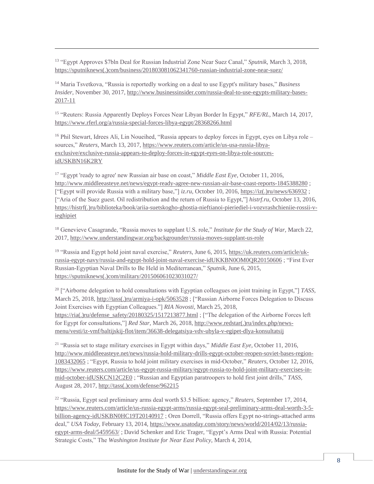<sup>13</sup> "Egypt Approves \$7bln Deal for Russian Industrial Zone Near Suez Canal," *Sputnik,* March 3, 2018, [https://sputniknews\(.\)com/business/201803081062341760-russian-industrial-zone-near-suez/](https://sputniknews.com/business/201803081062341760-russian-industrial-zone-near-suez/)

 $\overline{a}$ 

<sup>14</sup> Maria Tsvetkova, "Russia is reportedly working on a deal to use Egypt's military bases," *Business Insider,* November 30, 2017, [http://www.businessinsider.com/russia-deal-to-use-egypts-military-bases-](http://www.businessinsider.com/russia-deal-to-use-egypts-military-bases-2017-11)[2017-11](http://www.businessinsider.com/russia-deal-to-use-egypts-military-bases-2017-11)

<sup>15</sup> "Reuters: Russia Apparently Deploys Forces Near Libyan Border In Egypt," *RFE/RL,* March 14, 2017, <https://www.rferl.org/a/russia-special-forces-libya-egypt/28368266.html>

<sup>16</sup> Phil Stewart, Idrees Ali, Lin Noueihed, "Russia appears to deploy forces in Egypt, eyes on Libya role – sources," *Reuters,* March 13, 2017[, https://www.reuters.com/article/us-usa-russia-libya](https://www.reuters.com/article/us-usa-russia-libya-exclusive/exclusive-russia-appears-to-deploy-forces-in-egypt-eyes-on-libya-role-sources-idUSKBN16K2RY)[exclusive/exclusive-russia-appears-to-deploy-forces-in-egypt-eyes-on-libya-role-sources](https://www.reuters.com/article/us-usa-russia-libya-exclusive/exclusive-russia-appears-to-deploy-forces-in-egypt-eyes-on-libya-role-sources-idUSKBN16K2RY)[idUSKBN16K2RY](https://www.reuters.com/article/us-usa-russia-libya-exclusive/exclusive-russia-appears-to-deploy-forces-in-egypt-eyes-on-libya-role-sources-idUSKBN16K2RY)

<sup>17</sup> "Egypt 'ready to agree' new Russian air base on coast," *Middle East Eye,* October 11, 2016, <http://www.middleeasteye.net/news/egypt-ready-agree-new-russian-air-base-coast-reports-1845388280>; ["Egypt will provide Russia with a military base,"] *iz.ru,* October 10, 2016, [https://iz\(.\)ru/news/636932](https://iz.ru/news/636932) ; ["Aria of the Suez guest. Oil redistribution and the return of Russia to Egypt,"] *histrf.ru*, October 13, 2016, [https://histrf\(.\)ru/biblioteka/book/ariia-suetskogho-ghostia-nieftianoi-pieriediel-i-vozvrashchieniie-rossii-v](https://histrf.ru/biblioteka/book/ariia-suetskogho-ghostia-nieftianoi-pieriediel-i-vozvrashchieniie-rossii-v-ieghipiet)[ieghipiet](https://histrf.ru/biblioteka/book/ariia-suetskogho-ghostia-nieftianoi-pieriediel-i-vozvrashchieniie-rossii-v-ieghipiet)

<sup>18</sup> Genevieve Casagrande, "Russia moves to supplant U.S. role," *Institute for the Study of War,* March 22, 2017,<http://www.understandingwar.org/backgrounder/russia-moves-supplant-us-role>

<sup>19</sup> "Russia and Egypt hold joint naval exercise," *Reuters*, June 6, 2015, [https://uk.reuters.com/article/uk](https://uk.reuters.com/article/uk-russia-egypt-navy/russia-and-egypt-hold-joint-naval-exercise-idUKKBN0OM0QR20150606)[russia-egypt-navy/russia-and-egypt-hold-joint-naval-exercise-idUKKBN0OM0QR20150606](https://uk.reuters.com/article/uk-russia-egypt-navy/russia-and-egypt-hold-joint-naval-exercise-idUKKBN0OM0QR20150606) ; "First Ever Russian-Egyptian Naval Drills to Be Held in Mediterranean," *Sputnik,* June 6, 2015, [https://sputniknews\(.\)com/military/201506061023031027/](https://sputniknews.com/military/201506061023031027/)

<sup>20</sup> ["Airborne delegation to hold consultations with Egyptian colleagues on joint training in Egypt,"] *TASS,*  March 25, 2018[, http://tass\(.\)ru/armiya-i-opk/5063528](http://tass.ru/armiya-i-opk/5063528) ; ["Russian Airborne Forces Delegation to Discuss Joint Exercises with Egyptian Colleagues."] *RIA Novosti,* March 25, 2018, [https://ria\(.\)ru/defense\\_safety/20180325/1517213877.html](https://ria.ru/defense_safety/20180325/1517213877.html) ; ["The delegation of the Airborne Forces left for Egypt for consultations,"] *Red Star,* March 26, 2018[, http://www.redstar\(.\)ru/index.php/news](http://www.redstar.ru/index.php/news-menu/vesti/iz-vmf/baltijskij-flot/item/36638-delegatsiya-vdv-ubyla-v-egipet-dlya-konsultatsij)[menu/vesti/iz-vmf/baltijskij-flot/item/36638-delegatsiya-vdv-ubyla-v-egipet-dlya-konsultatsij](http://www.redstar.ru/index.php/news-menu/vesti/iz-vmf/baltijskij-flot/item/36638-delegatsiya-vdv-ubyla-v-egipet-dlya-konsultatsij)

<sup>21</sup> "Russia set to stage military exercises in Egypt within days," *Middle East Eye,* October 11, 2016, [http://www.middleeasteye.net/news/russia-hold-military-drills-egypt-october-reopen-soviet-bases-region-](http://www.middleeasteye.net/news/russia-hold-military-drills-egypt-october-reopen-soviet-bases-region-1083432065)[1083432065](http://www.middleeasteye.net/news/russia-hold-military-drills-egypt-october-reopen-soviet-bases-region-1083432065) ; "Egypt, Russia to hold joint military exercises in mid-October," *Reuters,* October 12, 2016, [https://www.reuters.com/article/us-egypt-russia-military/egypt-russia-to-hold-joint-military-exercises-in](https://www.reuters.com/article/us-egypt-russia-military/egypt-russia-to-hold-joint-military-exercises-in-mid-october-idUSKCN12C2E0)[mid-october-idUSKCN12C2E0](https://www.reuters.com/article/us-egypt-russia-military/egypt-russia-to-hold-joint-military-exercises-in-mid-october-idUSKCN12C2E0) ; "Russian and Egyptian paratroopers to hold first joint drills," *TASS,*  August 28, 2017, [http://tass\(.\)com/defense/962215](http://tass.com/defense/962215)

<sup>22</sup> "Russia, Egypt seal preliminary arms deal worth \$3.5 billion: agency," *Reuters,* September 17, 2014, [https://www.reuters.com/article/us-russia-egypt-arms/russia-egypt-seal-preliminary-arms-deal-worth-3-5](https://www.reuters.com/article/us-russia-egypt-arms/russia-egypt-seal-preliminary-arms-deal-worth-3-5-billion-agency-idUSKBN0HC19T20140917) [billion-agency-idUSKBN0HC19T20140917](https://www.reuters.com/article/us-russia-egypt-arms/russia-egypt-seal-preliminary-arms-deal-worth-3-5-billion-agency-idUSKBN0HC19T20140917) ; Oren Dorrell, "Russia offers Egypt no-strings-attached arms deal," *USA Today,* February 13, 2014*,* [https://www.usatoday.com/story/news/world/2014/02/13/russia](https://www.usatoday.com/story/news/world/2014/02/13/russia-egypt-arms-deal/5459563/)[egypt-arms-deal/5459563/](https://www.usatoday.com/story/news/world/2014/02/13/russia-egypt-arms-deal/5459563/) ; David Schenker and Eric Trager, "Egypt's Arms Deal with Russia: Potential Strategic Costs," The *Washington Institute for Near East Policy,* March 4, 2014,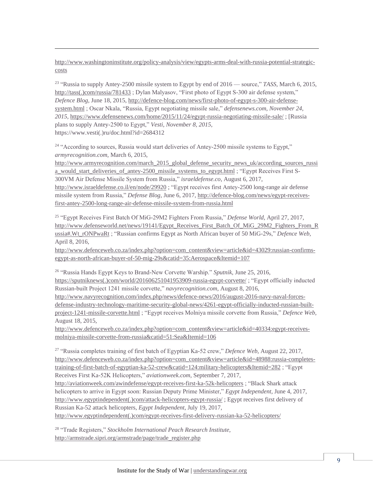[http://www.washingtoninstitute.org/policy-analysis/view/egypts-arms-deal-with-russia-potential-strategic](http://www.washingtoninstitute.org/policy-analysis/view/egypts-arms-deal-with-russia-potential-strategic-costs)[costs](http://www.washingtoninstitute.org/policy-analysis/view/egypts-arms-deal-with-russia-potential-strategic-costs)

 $\overline{a}$ 

23 "Russia to supply Antey-2500 missile system to Egypt by end of 2016 — source," *TASS,* March 6, 2015, [http://tass\(.\)com/russia/781433](http://tass.com/russia/781433); Dylan Malyasov, "First photo of Egypt S-300 air defense system," *Defence Blog,* June 18, 2015, [http://defence-blog.com/news/first-photo-of-egypt-s-300-air-defense](http://defence-blog.com/news/first-photo-of-egypt-s-300-air-defense-system.html)[system.html](http://defence-blog.com/news/first-photo-of-egypt-s-300-air-defense-system.html) ; Oscar Nkala, "Russia, Egypt negotiating missile sale," *defensenews.com, November 24, 2015,* <https://www.defensenews.com/home/2015/11/24/egypt-russia-negotiating-missile-sale/> ; [Russia plans to supply Antey-2500 to Egypt," *Vesti, November 8, 2015,*  https://www.vesti(.)ru/doc.html?id=2684312

<sup>24</sup> "According to sources, Russia would start deliveries of Antey-2500 missile systems to Egypt," *armyrecognition.com,* March 6, 2015,

[http://www.armyrecognition.com/march\\_2015\\_global\\_defense\\_security\\_news\\_uk/according\\_sources\\_russi](http://www.armyrecognition.com/march_2015_global_defense_security_news_uk/according_sources_russia_would_start_deliveries_of_antey-2500_missile_systems_to_egypt.html) a would start deliveries of antey-2500 missile systems to egypt.html ; "Egypt Receives First S-300VM Air Defense Missile System from Russia," *israeldefense.co*, August 6, 2017, <http://www.israeldefense.co.il/en/node/29920> ; "Egypt receives first Antey-2500 long-range air defense missile system from Russia," *Defense Blog*, June 6, 2017[, http://defence-blog.com/news/egypt-receives](http://defence-blog.com/news/egypt-receives-first-antey-2500-long-range-air-defense-missile-system-from-russia.html)[first-antey-2500-long-range-air-defense-missile-system-from-russia.html](http://defence-blog.com/news/egypt-receives-first-antey-2500-long-range-air-defense-missile-system-from-russia.html)

<sup>25</sup> "Egypt Receives First Batch Of MiG-29M2 Fighters From Russia," *Defense World,* April 27, 2017, [http://www.defenseworld.net/news/19141/Egypt\\_Receives\\_First\\_Batch\\_Of\\_MiG\\_29M2\\_Fighters\\_From\\_R](http://www.defenseworld.net/news/19141/Egypt_Receives_First_Batch_Of_MiG_29M2_Fighters_From_Russia#.Wt_rONPwaRt) [ussia#.Wt\\_rONPwaRt](http://www.defenseworld.net/news/19141/Egypt_Receives_First_Batch_Of_MiG_29M2_Fighters_From_Russia#.Wt_rONPwaRt) ; "Russian confirms Egypt as North African buyer of 50 MiG-29s," *Defence Web,*  April 8, 2016,

[http://www.defenceweb.co.za/index.php?option=com\\_content&view=article&id=43029:russian-confirms](http://www.defenceweb.co.za/index.php?option=com_content&view=article&id=43029:russian-confirms-egypt-as-north-african-buyer-of-50-mig-29s&catid=35:Aerospace&Itemid=107)[egypt-as-north-african-buyer-of-50-mig-29s&catid=35:Aerospace&Itemid=107](http://www.defenceweb.co.za/index.php?option=com_content&view=article&id=43029:russian-confirms-egypt-as-north-african-buyer-of-50-mig-29s&catid=35:Aerospace&Itemid=107)

<sup>26</sup> "Russia Hands Egypt Keys to Brand-New Corvette Warship." *Sputnik,* June 25, 2016, [https://sputniknews\(.\)com/world/201606251041953909-russia-egypt-corvette/](https://sputniknews.com/world/201606251041953909-russia-egypt-corvette/) ; "Egypt officially inducted Russian-built Project 1241 missile corvette," *navyrecognition.com,* August 8, 2016, [http://www.navyrecognition.com/index.php/news/defence-news/2016/august-2016-navy-naval-forces](http://www.navyrecognition.com/index.php/news/defence-news/2016/august-2016-navy-naval-forces-defense-industry-technology-maritime-security-global-news/4261-egypt-officially-inducted-russian-built-project-1241-missile-corvette.html)[defense-industry-technology-maritime-security-global-news/4261-egypt-officially-inducted-russian-built](http://www.navyrecognition.com/index.php/news/defence-news/2016/august-2016-navy-naval-forces-defense-industry-technology-maritime-security-global-news/4261-egypt-officially-inducted-russian-built-project-1241-missile-corvette.html)[project-1241-missile-corvette.html](http://www.navyrecognition.com/index.php/news/defence-news/2016/august-2016-navy-naval-forces-defense-industry-technology-maritime-security-global-news/4261-egypt-officially-inducted-russian-built-project-1241-missile-corvette.html) ; "Egypt receives Molniya missile corvette from Russia," *Defence Web,*  August 18, 2015,

[http://www.defenceweb.co.za/index.php?option=com\\_content&view=article&id=40334:egypt-receives](http://www.defenceweb.co.za/index.php?option=com_content&view=article&id=40334:egypt-receives-molniya-missile-corvette-from-russia&catid=51:Sea&Itemid=106)[molniya-missile-corvette-from-russia&catid=51:Sea&Itemid=106](http://www.defenceweb.co.za/index.php?option=com_content&view=article&id=40334:egypt-receives-molniya-missile-corvette-from-russia&catid=51:Sea&Itemid=106)

<sup>27</sup> "Russia completes training of first batch of Egyptian Ka-52 crew," *Defence Web,* August 22, 2017, [http://www.defenceweb.co.za/index.php?option=com\\_content&view=article&id=48988:russia-completes](http://www.defenceweb.co.za/index.php?option=com_content&view=article&id=48988:russia-completes-training-of-first-batch-of-egyptian-ka-52-crew&catid=124:military-helicopters&Itemid=282)[training-of-first-batch-of-egyptian-ka-52-crew&catid=124:military-helicopters&Itemid=282](http://www.defenceweb.co.za/index.php?option=com_content&view=article&id=48988:russia-completes-training-of-first-batch-of-egyptian-ka-52-crew&catid=124:military-helicopters&Itemid=282) ; "Egypt Receives First Ka-52K Helicopters," *aviationweek.com,* September 7, 2017,

<http://aviationweek.com/awindefense/egypt-receives-first-ka-52k-helicopters> ; "Black Shark attack helicopters to arrive in Egypt soon: Russian Deputy Prime Minister," *Egypt Independent,* June 4, 2017, [http://www.egyptindependent\(.\)com/attack-helicopters-egypt-russia/](http://www.egyptindependent.com/attack-helicopters-egypt-russia/); Egypt receives first delivery of Russian Ka-52 attack helicopters, *Egypt Independent*, July 19, 2017,

[http://www.egyptindependent\(.\)com/egypt-receives-first-delivery-russian-ka-52-helicopters/](http://www.egyptindependent.com/egypt-receives-first-delivery-russian-ka-52-helicopters/)

<sup>28</sup> "Trade Registers," *Stockholm International Peach Research Institute,*  [http://armstrade.sipri.org/armstrade/page/trade\\_register.php](http://armstrade.sipri.org/armstrade/page/trade_register.php)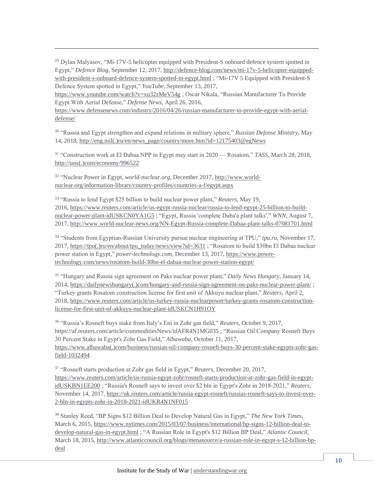$29$  Dylan Malyasov, "Mi-17V-5 helicopter equipped with President-S onboard defence system spotted in Egypt," *Defence Blog,* September 12, 2017[, http://defence-blog.com/news/mi-17v-5-helicopter-equipped](http://defence-blog.com/news/mi-17v-5-helicopter-equipped-with-president-s-onboard-defence-system-spotted-in-egypt.html)[with-president-s-onboard-defence-system-spotted-in-egypt.html](http://defence-blog.com/news/mi-17v-5-helicopter-equipped-with-president-s-onboard-defence-system-spotted-in-egypt.html) ; "Mi-17V 5 Equipped with President-S Defence System spotted in Egypt," *YouTube,* September 13, 2017,

<https://www.youtube.com/watch?v=xu32zMeV54g> ; Oscar Nikala, "Russian Manufacturer To Provide Egypt With Aerial Defense," *Defense News,* April 26, 2016,

[https://www.defensenews.com/industry/2016/04/26/russian-manufacturer-to-provide-egypt-with-aerial](https://www.defensenews.com/industry/2016/04/26/russian-manufacturer-to-provide-egypt-with-aerial-defense/)[defense/](https://www.defensenews.com/industry/2016/04/26/russian-manufacturer-to-provide-egypt-with-aerial-defense/)

<sup>30</sup> "Russia and Egypt strengthen and expand relations in military sphere," *Russian Defense Ministry,* May 14, 2018, [http://eng.mil\(.\)ru/en/news\\_page/country/more.htm?id=12175403@egNews](http://eng.mil.ru/en/news_page/country/more.htm?id=12175403@egNews)

<sup>31</sup> "Construction work at El Dabaa NPP in Egypt may start in 2020 — Rosatom," *TASS,* March 28, 2018, [http://tass\(.\)com/economy/996522](http://tass.com/economy/996522)

<sup>32</sup> "Nuclear Power in Egypt, *world-nuclear.org,* December 2017, [http://www.world](http://www.world-nuclear.org/information-library/country-profiles/countries-a-f/egypt.aspx)[nuclear.org/information-library/country-profiles/countries-a-f/egypt.aspx](http://www.world-nuclear.org/information-library/country-profiles/countries-a-f/egypt.aspx)

 $\overline{a}$ 

33 "Russia to lend Egypt \$25 billion to build nuclear power plant," *Reuters,* May 19, 2016, [https://www.reuters.com/article/us-egypt-russia-nuclear/russia-to-lend-egypt-25-billion-to-build](https://www.reuters.com/article/us-egypt-russia-nuclear/russia-to-lend-egypt-25-billion-to-build-nuclear-power-plant-idUSKCN0YA1G5)[nuclear-power-plant-idUSKCN0YA1G5](https://www.reuters.com/article/us-egypt-russia-nuclear/russia-to-lend-egypt-25-billion-to-build-nuclear-power-plant-idUSKCN0YA1G5) ; "Egypt, Russia 'complete Daba'a plant talks'," *WNN,* August 7, 2017,<http://www.world-nuclear-news.org/NN-Egypt-Russia-complete-Dabaa-plant-talks-07081701.html>

<sup>34</sup> "Students from Egyptian-Russian University pursue nuclear engineering at TPU," *tpu.ru,* November 17, 2017, [https://tpu\(.\)ru/en/about/tpu\\_today/news/view?id=3631](https://tpu.ru/en/about/tpu_today/news/view?id=3631) ; "Rosatom to build \$30bn El Dabaa nuclear power station in Egypt," *power-technology.com*, December 13, 2017, [https://www.power](https://www.power-technology.com/news/rosatom-build-30bn-el-dabaa-nuclear-power-station-egypt/)[technology.com/news/rosatom-build-30bn-el-dabaa-nuclear-power-station-egypt/](https://www.power-technology.com/news/rosatom-build-30bn-el-dabaa-nuclear-power-station-egypt/)

<sup>35</sup> "Hungary and Russia sign agreement on Paks nuclear power plant," *Daily News Hungary,* January 14, 2014, [https://dailynewshungary\(.\)com/hungary-and-russia-sign-agreement-on-paks-nuclear-power-plant/](https://dailynewshungary.com/hungary-and-russia-sign-agreement-on-paks-nuclear-power-plant/) ; "Turkey grants Rosatom construction license for first unit of Akkuyu nuclear plant," *Reuters,* April 2, 2018, [https://www.reuters.com/article/us-turkey-russia-nuclearpower/turkey-grants-rosatom-construction](https://www.reuters.com/article/us-turkey-russia-nuclearpower/turkey-grants-rosatom-construction-license-for-first-unit-of-akkuyu-nuclear-plant-idUSKCN1H91OY)[license-for-first-unit-of-akkuyu-nuclear-plant-idUSKCN1H91OY](https://www.reuters.com/article/us-turkey-russia-nuclearpower/turkey-grants-rosatom-construction-license-for-first-unit-of-akkuyu-nuclear-plant-idUSKCN1H91OY)

<sup>36</sup> "Russia's Rosneft buys stake from Italy's Eni in Zohr gas field," *Reuters,* October 9, 2017, https://af.reuters.com/article/commoditiesNews/idAFR4N1MG035 ; "Russian Oil Company Rosneft Buys 30 Percent Stake in Egypt's Zohr Gas Field," *Albawaba,* October 11, 2017, [https://www.albawaba\(.\)com/business/russian-oil-company-rosneft-buys-30-percent-stake-egypts-zohr-gas](https://www.albawaba.com/business/russian-oil-company-rosneft-buys-30-percent-stake-egypts-zohr-gas-field-1032494)[field-1032494](https://www.albawaba.com/business/russian-oil-company-rosneft-buys-30-percent-stake-egypts-zohr-gas-field-1032494)

<sup>37</sup> "Rosneft starts production at Zohr gas field in Egypt," *Reuters,* December 20, 2017, [https://www.reuters.com/article/us-russia-egypt-zohr/rosneft-starts-production-at-zohr-gas-field-in-egypt](https://www.reuters.com/article/us-russia-egypt-zohr/rosneft-starts-production-at-zohr-gas-field-in-egypt-idUSKBN1EE200)[idUSKBN1EE200](https://www.reuters.com/article/us-russia-egypt-zohr/rosneft-starts-production-at-zohr-gas-field-in-egypt-idUSKBN1EE200) ; "Russia's Rosneft says to invest over \$2 bln in Egypt's Zohr in 2018-2021," *Reuters,*  November 14, 2017[, https://uk.reuters.com/article/russia-egypt-rosneft/russias-rosneft-says-to-invest-over-](https://uk.reuters.com/article/russia-egypt-rosneft/russias-rosneft-says-to-invest-over-2-bln-in-egypts-zohr-in-2018-2021-idUKR4N1NF015)[2-bln-in-egypts-zohr-in-2018-2021-idUKR4N1NF015](https://uk.reuters.com/article/russia-egypt-rosneft/russias-rosneft-says-to-invest-over-2-bln-in-egypts-zohr-in-2018-2021-idUKR4N1NF015)

<sup>38</sup> Stanley Reed, "BP Signs \$12 Billion Deal to Develop Natural Gas in Egypt," *The New York Times,*  March 6, 2015*,* [https://www.nytimes.com/2015/03/07/business/international/bp-signs-12-billion-deal-to](https://www.nytimes.com/2015/03/07/business/international/bp-signs-12-billion-deal-to-develop-natural-gas-in-egypt.html)[develop-natural-gas-in-egypt.html](https://www.nytimes.com/2015/03/07/business/international/bp-signs-12-billion-deal-to-develop-natural-gas-in-egypt.html) ; "A Russian Role in Egypt's \$12 Billion BP Deal," *Atlantic Council,*  March 18, 2015[, http://www.atlanticcouncil.org/blogs/menasource/a-russian-role-in-egypt-s-12-billion-bp](http://www.atlanticcouncil.org/blogs/menasource/a-russian-role-in-egypt-s-12-billion-bp-deal)[deal](http://www.atlanticcouncil.org/blogs/menasource/a-russian-role-in-egypt-s-12-billion-bp-deal)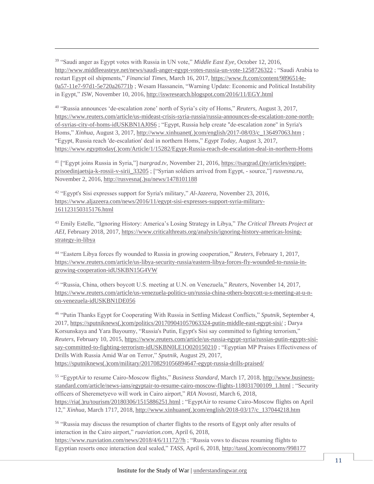<sup>39</sup> "Saudi anger as Egypt votes with Russia in UN vote," *Middle East Eye,* October 12, 2016, <http://www.middleeasteye.net/news/saudi-anger-egypt-votes-russia-un-vote-1258726322> ; "Saudi Arabia to restart Egypt oil shipments," *Financial Times,* March 16, 2017, [https://www.ft.com/content/9896514e-](https://www.ft.com/content/9896514e-0a57-11e7-97d1-5e720a26771b)[0a57-11e7-97d1-5e720a26771b](https://www.ft.com/content/9896514e-0a57-11e7-97d1-5e720a26771b) ; Wesam Hassanein, "Warning Update: Economic and Political Instability in Egypt," *ISW,* November 10, 2016,<http://iswresearch.blogspot.com/2016/11/EGY.html>

 $\overline{a}$ 

<sup>40</sup> "Russia announces 'de-escalation zone' north of Syria's city of Homs," *Reuters,* August 3, 2017, [https://www.reuters.com/article/us-mideast-crisis-syria-russia/russia-announces-de-escalation-zone-north](https://www.reuters.com/article/us-mideast-crisis-syria-russia/russia-announces-de-escalation-zone-north-of-syrias-city-of-homs-idUSKBN1AJ0S6)[of-syrias-city-of-homs-idUSKBN1AJ0S6](https://www.reuters.com/article/us-mideast-crisis-syria-russia/russia-announces-de-escalation-zone-north-of-syrias-city-of-homs-idUSKBN1AJ0S6) ; "Egypt, Russia help create "de-escalation zone" in Syria's Homs," *Xinhua,* August 3, 2017[, http://www.xinhuanet\(.\)com/english/2017-08/03/c\\_136497063.htm](http://www.xinhuanet.com/english/2017-08/03/c_136497063.htm) ; "Egypt, Russia reach 'de-escalation' deal in northern Homs," *Egypt Today,* August 3, 2017, [https://www.egypttoday\(.\)com/Article/1/15282/Egypt-Russia-reach-de-escalation-deal-in-northern-Homs](https://www.egypttoday.com/Article/1/15282/Egypt-Russia-reach-de-escalation-deal-in-northern-Homs)

<sup>41</sup> ["Egypt joins Russia in Syria,"] *tsargrad.tv*, November 21, 2016, [https://tsargrad.\(\)tv/articles/egipet](https://tsargrad.tv/articles/egipet-prisoedinjaetsja-k-rossii-v-sirii_33205)[prisoedinjaetsja-k-rossii-v-sirii\\_33205](https://tsargrad.tv/articles/egipet-prisoedinjaetsja-k-rossii-v-sirii_33205) ; ["Syrian soldiers arrived from Egypt, - source,"] *rusvesna.ru,* November 2, 2016[, http://rusvesna\(.\)su/news/1478101188](http://rusvesna.su/news/1478101188)

<sup>42</sup> "Egypt's Sisi expresses support for Syria's military," *Al-Jazeera,* November 23, 2016, [https://www.aljazeera.com/news/2016/11/egypt-sisi-expresses-support-syria-military-](https://www.aljazeera.com/news/2016/11/egypt-sisi-expresses-support-syria-military-161123150315176.html)[161123150315176.html](https://www.aljazeera.com/news/2016/11/egypt-sisi-expresses-support-syria-military-161123150315176.html)

<sup>43</sup> Emily Estelle, "Ignoring History: America's Losing Strategy in Libya," *The Critical Threats Project at AEI,* February 2018, 2017, [https://www.criticalthreats.org/analysis/ignoring-history-americas-losing](https://www.criticalthreats.org/analysis/ignoring-history-americas-losing-strategy-in-libya)[strategy-in-libya](https://www.criticalthreats.org/analysis/ignoring-history-americas-losing-strategy-in-libya)

<sup>44</sup> "Eastern Libya forces fly wounded to Russia in growing cooperation," *Reuters,* February 1, 2017, [https://www.reuters.com/article/us-libya-security-russia/eastern-libya-forces-fly-wounded-to-russia-in](https://www.reuters.com/article/us-libya-security-russia/eastern-libya-forces-fly-wounded-to-russia-in-growing-cooperation-idUSKBN15G4VW)[growing-cooperation-idUSKBN15G4VW](https://www.reuters.com/article/us-libya-security-russia/eastern-libya-forces-fly-wounded-to-russia-in-growing-cooperation-idUSKBN15G4VW)

<sup>45</sup> "Russia, China, others boycott U.S. meeting at U.N. on Venezuela," *Reuters,* November 14, 2017, [https://www.reuters.com/article/us-venezuela-politics-un/russia-china-others-boycott-u-s-meeting-at-u-n](https://www.reuters.com/article/us-venezuela-politics-un/russia-china-others-boycott-u-s-meeting-at-u-n-on-venezuela-idUSKBN1DE056)[on-venezuela-idUSKBN1DE056](https://www.reuters.com/article/us-venezuela-politics-un/russia-china-others-boycott-u-s-meeting-at-u-n-on-venezuela-idUSKBN1DE056)

<sup>46</sup> "Putin Thanks Egypt for Cooperating With Russia in Settling Mideast Conflicts," *Sputnik,* September 4, 2017, [https://sputniknews\(.\)com/politics/201709041057063324-putin-middle-east-egypt-sisi/](https://sputniknews.com/politics/201709041057063324-putin-middle-east-egypt-sisi/) ; Darya Korsunskaya and Yara Bayoumy, "Russia's Putin, Egypt's Sisi say committed to fighting terrorism," *Reuters,* February 10, 2015, [https://www.reuters.com/article/us-russia-egypt-syria/russias-putin-egypts-sisi](https://www.reuters.com/article/us-russia-egypt-syria/russias-putin-egypts-sisi-say-committed-to-fighting-terrorism-idUSKBN0LE1O020150210)[say-committed-to-fighting-terrorism-idUSKBN0LE1O020150210](https://www.reuters.com/article/us-russia-egypt-syria/russias-putin-egypts-sisi-say-committed-to-fighting-terrorism-idUSKBN0LE1O020150210) ; "Egyptian MP Praises Effectiveness of Drills With Russia Amid War on Terror," *Sputnik,* August 29, 2017, [https://sputniknews\(.\)com/military/201708291056894647-egypt-russia-drills-praised/](https://sputniknews.com/military/201708291056894647-egypt-russia-drills-praised/)

<sup>55</sup> "EgyptAir to resume Cairo-Moscow flights," *Business Standard,* March 17, 2018, [http://www.business](http://www.business-standard.com/article/news-ians/egyptair-to-resume-cairo-moscow-flights-118031700109_1.html)[standard.com/article/news-ians/egyptair-to-resume-cairo-moscow-flights-118031700109\\_1.html](http://www.business-standard.com/article/news-ians/egyptair-to-resume-cairo-moscow-flights-118031700109_1.html) ; "Security officers of Sheremetyevo will work in Cairo airport," *RIA Novosti,* March 6, 2018, [https://ria\(.\)ru/tourism/20180306/1515886251.html](https://ria.ru/tourism/20180306/1515886251.html) ; "EgyptAir to resume Cairo-Moscow flights on April 12," *Xinhua,* March 1717, 2018, [http://www.xinhuanet\(.\)com/english/2018-03/17/c\\_137044218.htm](http://www.xinhuanet.com/english/2018-03/17/c_137044218.htm)

<sup>56</sup> "Russia may discuss the resumption of charter flights to the resorts of Egypt only after results of interaction in the Cairo airport," *ruaviation.com,* April 6, 2018, <https://www.ruaviation.com/news/2018/4/6/11172/?h> ; "Russia vows to discuss resuming flights to Egyptian resorts once interaction deal sealed," *TASS,* April 6, 2018, [http://tass\(.\)com/economy/998177](http://tass.com/economy/998177)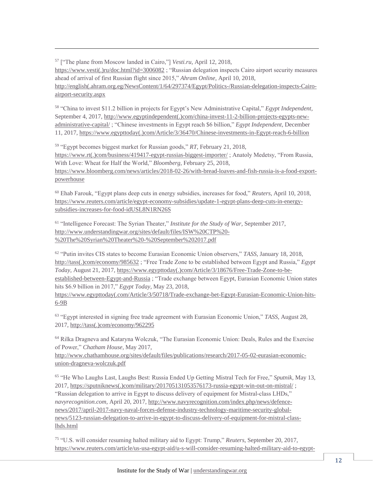<sup>57</sup> ["The plane from Moscow landed in Cairo,"] *Vesti.ru,* April 12, 2018, [https://www.vesti\(.\)ru/doc.html?id=3006082](https://www.vesti.ru/doc.html?id=3006082) ; "Russian delegation inspects Cairo airport security measures ahead of arrival of first Russian flight since 2015," *Ahram Online,* April 10, 2018, [http://english\(.ahram.org.eg/NewsContent/1/64/297374/Egypt/Politics-/Russian-delegation-inspects-Cairo](http://english.ahram.org.eg/NewsContent/1/64/297374/Egypt/Politics-/Russian-delegation-inspects-Cairo-airport-security.aspx)[airport-security.aspx](http://english.ahram.org.eg/NewsContent/1/64/297374/Egypt/Politics-/Russian-delegation-inspects-Cairo-airport-security.aspx)

 $\overline{a}$ 

<sup>58</sup> "China to invest \$11.2 billion in projects for Egypt's New Administrative Capital," *Egypt Independent,*  September 4, 2017, [http://www.egyptindependent\(.\)com/china-invest-11-2-billion-projects-egypts-new](http://www.egyptindependent.com/china-invest-11-2-billion-projects-egypts-new-administrative-capital/)[administrative-capital/](http://www.egyptindependent.com/china-invest-11-2-billion-projects-egypts-new-administrative-capital/) ; "Chinese investments in Egypt reach \$6 billion," *Egypt Independent,* December 11, 2017, [https://www.egypttoday\(.\)com/Article/3/36470/Chinese-investments-in-Egypt-reach-6-billion](https://www.egypttoday.com/Article/3/36470/Chinese-investments-in-Egypt-reach-6-billion)

<sup>59</sup> "Egypt becomes biggest market for Russian goods," *RT,* February 21, 2018, [https://www.rt\(.\)com/business/419417-egypt-russias-biggest-importer/](https://www.rt.com/business/419417-egypt-russias-biggest-importer/) ; Anatoly Medetsy, "From Russia, With Love: Wheat for Half the World," *Bloomberg,* February 25, 2018, [https://www.bloomberg.com/news/articles/2018-02-26/with-bread-loaves-and-fish-russia-is-a-food-export](https://www.bloomberg.com/news/articles/2018-02-26/with-bread-loaves-and-fish-russia-is-a-food-export-powerhouse)[powerhouse](https://www.bloomberg.com/news/articles/2018-02-26/with-bread-loaves-and-fish-russia-is-a-food-export-powerhouse)

<sup>60</sup> Ehab Farouk, "Egypt plans deep cuts in energy subsidies, increases for food," *Reuters,* April 10, 2018, [https://www.reuters.com/article/egypt-economy-subsidies/update-1-egypt-plans-deep-cuts-in-energy](https://www.reuters.com/article/egypt-economy-subsidies/update-1-egypt-plans-deep-cuts-in-energy-subsidies-increases-for-food-idUSL8N1RN26S)[subsidies-increases-for-food-idUSL8N1RN26S](https://www.reuters.com/article/egypt-economy-subsidies/update-1-egypt-plans-deep-cuts-in-energy-subsidies-increases-for-food-idUSL8N1RN26S)

<sup>61</sup> "Intelligence Forecast: The Syrian Theater," *Institute for the Study of War,* September 2017, [http://www.understandingwar.org/sites/default/files/ISW%20CTP%20-](http://www.understandingwar.org/sites/default/files/ISW%20CTP%20-%20The%20Syrian%20Theater%20-%20September%202017.pdf) [%20The%20Syrian%20Theater%20-%20September%202017.pdf](http://www.understandingwar.org/sites/default/files/ISW%20CTP%20-%20The%20Syrian%20Theater%20-%20September%202017.pdf)

<sup>62</sup> "Putin invites CIS states to become Eurasian Economic Union observers," *TASS,* January 18, 2018, [http://tass\(.\)com/economy/985632](http://tass.com/economy/985632) ; "Free Trade Zone to be established between Egypt and Russia," *Egypt Today,* August 21, 2017, [https://www.egypttoday\(.\)com/Article/3/18676/Free-Trade-Zone-to-be](https://www.egypttoday.com/Article/3/18676/Free-Trade-Zone-to-be-established-between-Egypt-and-Russia)[established-between-Egypt-and-Russia](https://www.egypttoday.com/Article/3/18676/Free-Trade-Zone-to-be-established-between-Egypt-and-Russia) ; "Trade exchange between Egypt, Eurasian Economic Union states hits \$6.9 billion in 2017," *Egypt Today,* May 23, 2018,

[https://www.egypttoday\(.com/Article/3/50718/Trade-exchange-bet-Egypt-Eurasian-Economic-Union-hits-](https://www.egypttoday.com/Article/3/50718/Trade-exchange-bet-Egypt-Eurasian-Economic-Union-hits-6-9B)[6-9B](https://www.egypttoday.com/Article/3/50718/Trade-exchange-bet-Egypt-Eurasian-Economic-Union-hits-6-9B)

<sup>63</sup> "Egypt interested in signing free trade agreement with Eurasian Economic Union," *TASS,* August 28, 2017, [http://tass\(.\)com/economy/962295](http://tass.com/economy/962295)

<sup>64</sup> Rilka Dragneva and Kataryna Wolczuk, "The Eurasian Economic Union: Deals, Rules and the Exercise of Power," *Chatham House,* May 2017,

[http://www.chathamhouse.org/sites/default/files/publications/research/2017-05-02-eurasian-economic](http://www.chathamhouse.org/sites/default/files/publications/research/2017-05-02-eurasian-economic-union-dragneva-wolczuk.pdf)[union-dragneva-wolczuk.pdf](http://www.chathamhouse.org/sites/default/files/publications/research/2017-05-02-eurasian-economic-union-dragneva-wolczuk.pdf)

<sup>65</sup> "He Who Laughs Last, Laughs Best: Russia Ended Up Getting Mistral Tech for Free," *Sputnik,* May 13, 2017, [https://sputniknews\(.\)com/military/201705131053576173-russia-egypt-win-out-on-mistral/](https://sputniknews.com/military/201705131053576173-russia-egypt-win-out-on-mistral/) ; "Russian delegation to arrive in Egypt to discuss delivery of equipment for Mistral-class LHDs," *navyrecognition.com,* April 20, 2017[, http://www.navyrecognition.com/index.php/news/defence](http://www.navyrecognition.com/index.php/news/defence-news/2017/april-2017-navy-naval-forces-defense-industry-technology-maritime-security-global-news/5123-russian-delegation-to-arrive-in-egypt-to-discuss-delivery-of-equipment-for-mistral-class-lhds.html)[news/2017/april-2017-navy-naval-forces-defense-industry-technology-maritime-security-global](http://www.navyrecognition.com/index.php/news/defence-news/2017/april-2017-navy-naval-forces-defense-industry-technology-maritime-security-global-news/5123-russian-delegation-to-arrive-in-egypt-to-discuss-delivery-of-equipment-for-mistral-class-lhds.html)[news/5123-russian-delegation-to-arrive-in-egypt-to-discuss-delivery-of-equipment-for-mistral-class](http://www.navyrecognition.com/index.php/news/defence-news/2017/april-2017-navy-naval-forces-defense-industry-technology-maritime-security-global-news/5123-russian-delegation-to-arrive-in-egypt-to-discuss-delivery-of-equipment-for-mistral-class-lhds.html)[lhds.html](http://www.navyrecognition.com/index.php/news/defence-news/2017/april-2017-navy-naval-forces-defense-industry-technology-maritime-security-global-news/5123-russian-delegation-to-arrive-in-egypt-to-discuss-delivery-of-equipment-for-mistral-class-lhds.html)

<sup>75</sup> "U.S. will consider resuming halted military aid to Egypt: Trump," *Reuters*, September 20, 2017, [https://www.reuters.com/article/us-usa-egypt-aid/u-s-will-consider-resuming-halted-military-aid-to-egypt-](https://www.reuters.com/article/us-usa-egypt-aid/u-s-will-consider-resuming-halted-military-aid-to-egypt-trump-idUSKCN1BV2ZP)